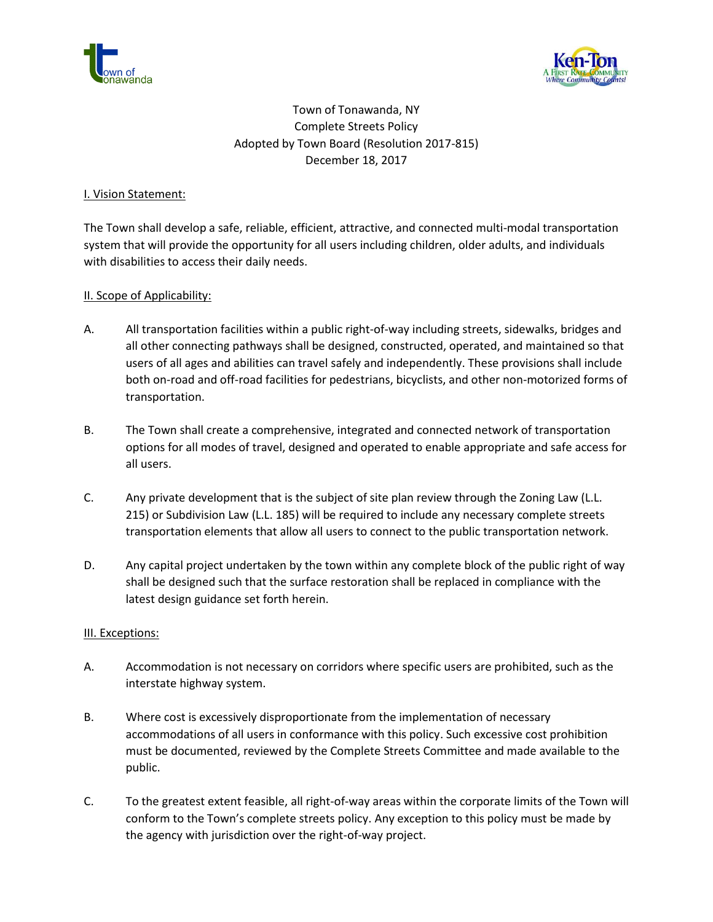



# Town of Tonawanda, NY Complete Streets Policy Adopted by Town Board (Resolution 2017-815) December 18, 2017

## I. Vision Statement:

The Town shall develop a safe, reliable, efficient, attractive, and connected multi-modal transportation system that will provide the opportunity for all users including children, older adults, and individuals with disabilities to access their daily needs.

#### II. Scope of Applicability:

- A. All transportation facilities within a public right-of-way including streets, sidewalks, bridges and all other connecting pathways shall be designed, constructed, operated, and maintained so that users of all ages and abilities can travel safely and independently. These provisions shall include both on-road and off-road facilities for pedestrians, bicyclists, and other non-motorized forms of transportation.
- B. The Town shall create a comprehensive, integrated and connected network of transportation options for all modes of travel, designed and operated to enable appropriate and safe access for all users.
- C. Any private development that is the subject of site plan review through the Zoning Law (L.L. 215) or Subdivision Law (L.L. 185) will be required to include any necessary complete streets transportation elements that allow all users to connect to the public transportation network.
- D. Any capital project undertaken by the town within any complete block of the public right of way shall be designed such that the surface restoration shall be replaced in compliance with the latest design guidance set forth herein.

#### III. Exceptions:

- A. Accommodation is not necessary on corridors where specific users are prohibited, such as the interstate highway system.
- B. Where cost is excessively disproportionate from the implementation of necessary accommodations of all users in conformance with this policy. Such excessive cost prohibition must be documented, reviewed by the Complete Streets Committee and made available to the public.
- C. To the greatest extent feasible, all right-of-way areas within the corporate limits of the Town will conform to the Town's complete streets policy. Any exception to this policy must be made by the agency with jurisdiction over the right-of-way project.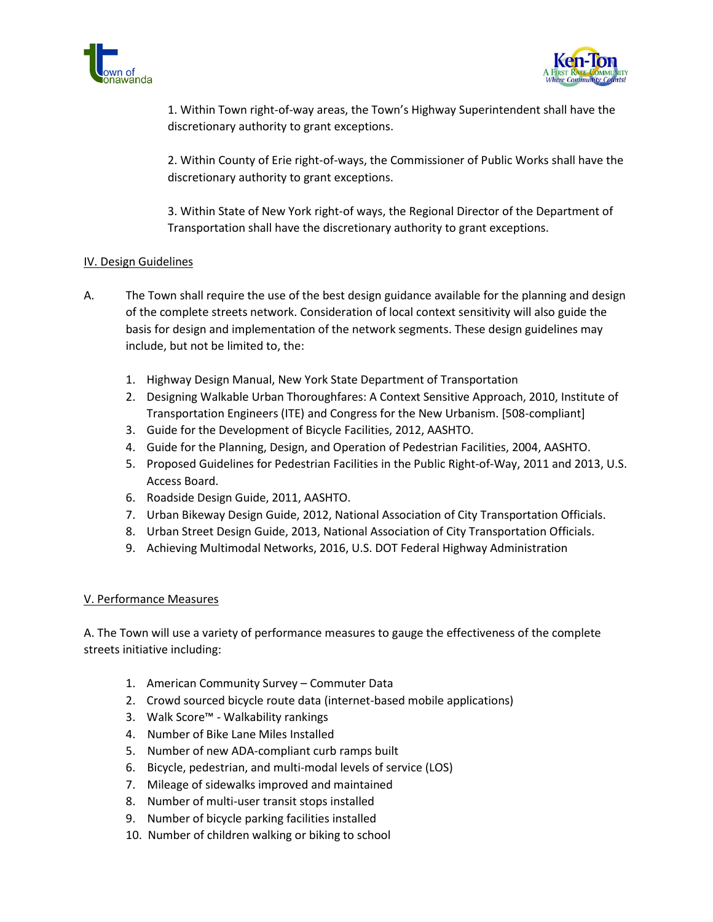



1. Within Town right-of-way areas, the Town's Highway Superintendent shall have the discretionary authority to grant exceptions.

2. Within County of Erie right-of-ways, the Commissioner of Public Works shall have the discretionary authority to grant exceptions.

3. Within State of New York right-of ways, the Regional Director of the Department of Transportation shall have the discretionary authority to grant exceptions.

# IV. Design Guidelines

- A. The Town shall require the use of the best design guidance available for the planning and design of the complete streets network. Consideration of local context sensitivity will also guide the basis for design and implementation of the network segments. These design guidelines may include, but not be limited to, the:
	- 1. Highway Design Manual, New York State Department of Transportation
	- 2. Designing Walkable Urban Thoroughfares: A Context Sensitive Approach, 2010, Institute of Transportation Engineers (ITE) and Congress for the New Urbanism. [508-compliant]
	- 3. Guide for the Development of Bicycle Facilities, 2012, AASHTO.
	- 4. Guide for the Planning, Design, and Operation of Pedestrian Facilities, 2004, AASHTO.
	- 5. Proposed Guidelines for Pedestrian Facilities in the Public Right-of-Way, 2011 and 2013, U.S. Access Board.
	- 6. Roadside Design Guide, 2011, AASHTO.
	- 7. Urban Bikeway Design Guide, 2012, National Association of City Transportation Officials.
	- 8. Urban Street Design Guide, 2013, National Association of City Transportation Officials.
	- 9. Achieving Multimodal Networks, 2016, U.S. DOT Federal Highway Administration

#### V. Performance Measures

A. The Town will use a variety of performance measures to gauge the effectiveness of the complete streets initiative including:

- 1. American Community Survey Commuter Data
- 2. Crowd sourced bicycle route data (internet-based mobile applications)
- 3. Walk Score™ Walkability rankings
- 4. Number of Bike Lane Miles Installed
- 5. Number of new ADA-compliant curb ramps built
- 6. Bicycle, pedestrian, and multi-modal levels of service (LOS)
- 7. Mileage of sidewalks improved and maintained
- 8. Number of multi-user transit stops installed
- 9. Number of bicycle parking facilities installed
- 10. Number of children walking or biking to school